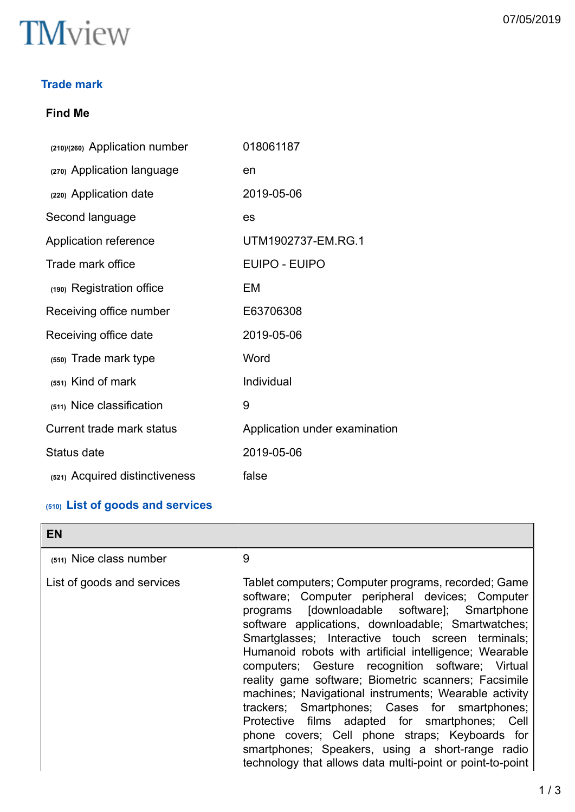

# **Trade mark**

# **Find Me**

| (210)/(260) Application number | 018061187                     |
|--------------------------------|-------------------------------|
| (270) Application language     | en                            |
| (220) Application date         | 2019-05-06                    |
| Second language                | es                            |
| Application reference          | UTM1902737-EM.RG.1            |
| Trade mark office              | <b>EUIPO - EUIPO</b>          |
| (190) Registration office      | EM                            |
| Receiving office number        | E63706308                     |
| Receiving office date          | 2019-05-06                    |
| (550) Trade mark type          | Word                          |
| $(551)$ Kind of mark           | Individual                    |
| (511) Nice classification      | 9                             |
| Current trade mark status      | Application under examination |
| Status date                    | 2019-05-06                    |
| (521) Acquired distinctiveness | false                         |

# **(510) List of goods and services**

| <b>EN</b>                  |                                                                                                                                                                                                                                                                                                                                                                                                                                                                                                                                                                                                                                                                                                                                                                        |
|----------------------------|------------------------------------------------------------------------------------------------------------------------------------------------------------------------------------------------------------------------------------------------------------------------------------------------------------------------------------------------------------------------------------------------------------------------------------------------------------------------------------------------------------------------------------------------------------------------------------------------------------------------------------------------------------------------------------------------------------------------------------------------------------------------|
| $(511)$ Nice class number  | 9                                                                                                                                                                                                                                                                                                                                                                                                                                                                                                                                                                                                                                                                                                                                                                      |
| List of goods and services | Tablet computers; Computer programs, recorded; Game<br>software; Computer peripheral devices; Computer<br>programs [downloadable software]; Smartphone<br>software applications, downloadable; Smartwatches;<br>Smartglasses; Interactive touch screen terminals;<br>Humanoid robots with artificial intelligence; Wearable<br>computers; Gesture recognition software; Virtual<br>reality game software; Biometric scanners; Facsimile<br>machines; Navigational instruments; Wearable activity<br>trackers; Smartphones; Cases for smartphones;<br>Protective films adapted for smartphones; Cell<br>phone covers; Cell phone straps; Keyboards for<br>smartphones; Speakers, using a short-range radio<br>technology that allows data multi-point or point-to-point |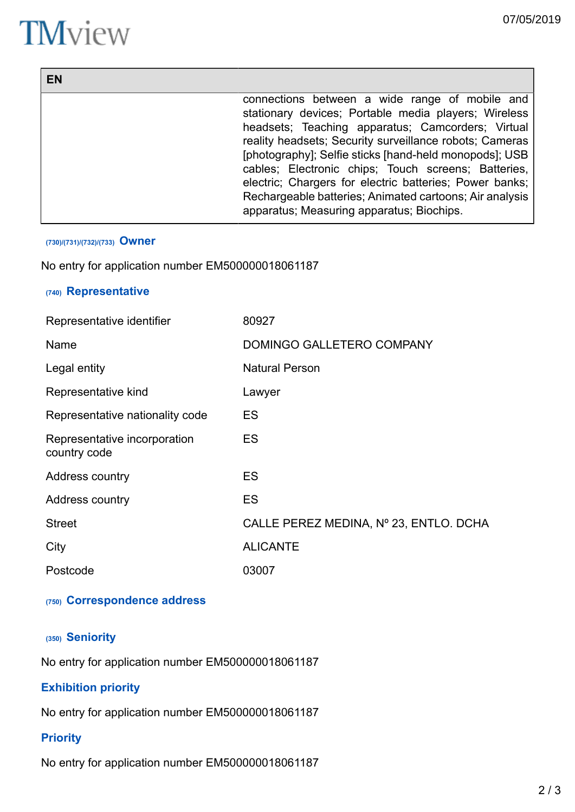# **TM**view

| EN |                                                         |
|----|---------------------------------------------------------|
|    | connections between a wide range of mobile and          |
|    | stationary devices; Portable media players; Wireless    |
|    | headsets; Teaching apparatus; Camcorders; Virtual       |
|    | reality headsets; Security surveillance robots; Cameras |
|    | [photography]; Selfie sticks [hand-held monopods]; USB  |
|    | cables; Electronic chips; Touch screens; Batteries,     |
|    | electric; Chargers for electric batteries; Power banks; |
|    | Rechargeable batteries; Animated cartoons; Air analysis |
|    | apparatus; Measuring apparatus; Biochips.               |

#### **(730)/(731)/(732)/(733) Owner**

No entry for application number EM500000018061187

# **(740) Representative**

| Representative identifier                    | 80927                                  |
|----------------------------------------------|----------------------------------------|
| Name                                         | DOMINGO GALLETERO COMPANY              |
| Legal entity                                 | <b>Natural Person</b>                  |
| Representative kind                          | Lawyer                                 |
| Representative nationality code              | <b>ES</b>                              |
| Representative incorporation<br>country code | <b>ES</b>                              |
| Address country                              | <b>ES</b>                              |
| Address country                              | <b>ES</b>                              |
| <b>Street</b>                                | CALLE PEREZ MEDINA, Nº 23, ENTLO. DCHA |
| City                                         | <b>ALICANTE</b>                        |
| Postcode                                     | 03007                                  |

# **(750) Correspondence address**

## **(350) Seniority**

No entry for application number EM500000018061187

# **Exhibition priority**

No entry for application number EM500000018061187

# **Priority**

No entry for application number EM500000018061187